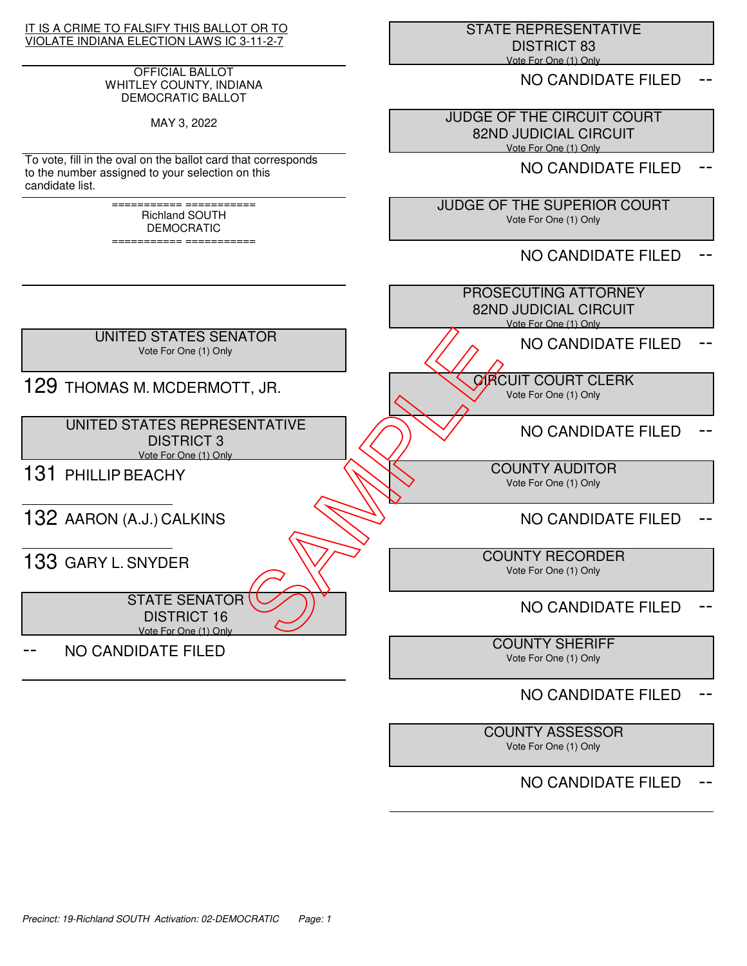### IT IS A CRIME TO FALSIFY THIS BALLOT OR TO VIOLATE INDIANA ELECTION LAWS IC 3-11-2-7

### OFFICIAL BALLOT WHITLEY COUNTY, INDIANA DEMOCRATIC BALLOT

MAY 3, 2022

To vote, fill in the oval on the ballot card that corresponds to the number assigned to your selection on this candidate list.

> =========== =========== Richland SOUTH DEMOCRATIC

> =========== ===========

 STATE REPRESENTATIVE DISTRICT 83 Vote For One (1) Only

NO CANDIDATE FILED

 JUDGE OF THE CIRCUIT COURT 82ND JUDICIAL CIRCUIT Vote For One (1) Only

NO CANDIDATE FILED

 JUDGE OF THE SUPERIOR COURT Vote For One (1) Only

NO CANDIDATE FILED

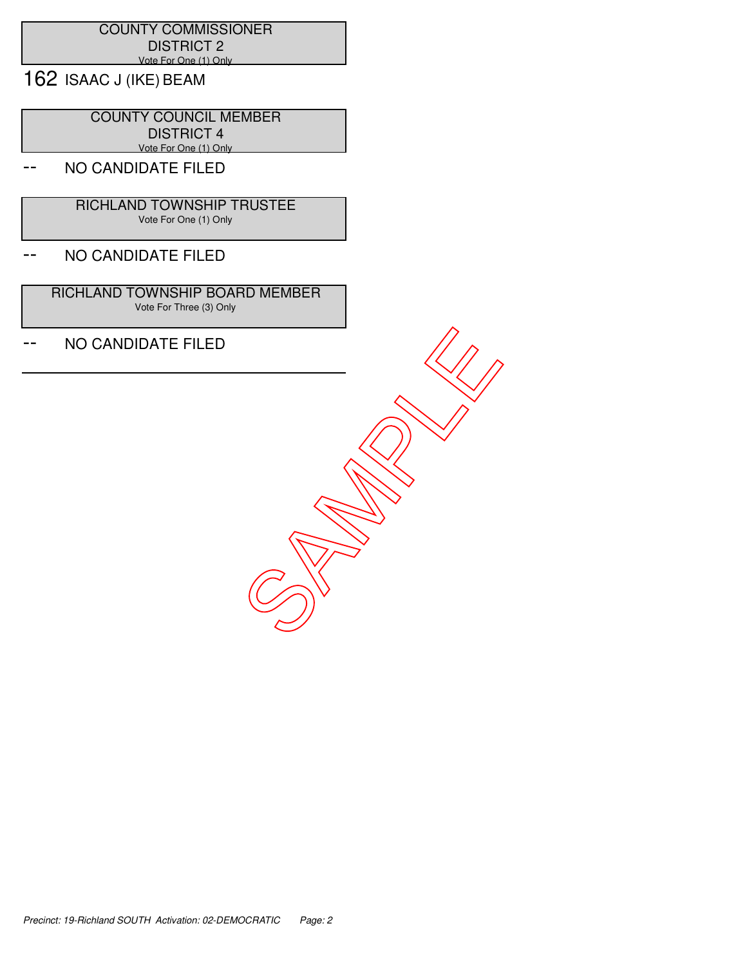## COUNTY COMMISSIONER DISTRICT 2 Vote For One (1) Only

162 ISAAC J (IKE) BEAM

 COUNTY COUNCIL MEMBER DISTRICT 4 Vote For One (1) Only

# NO CANDIDATE FILED

 RICHLAND TOWNSHIP TRUSTEE Vote For One (1) Only

## -- NO CANDIDATE FILED

 RICHLAND TOWNSHIP BOARD MEMBER Vote For Three (3) Only

-- NO CANDIDATE FILED